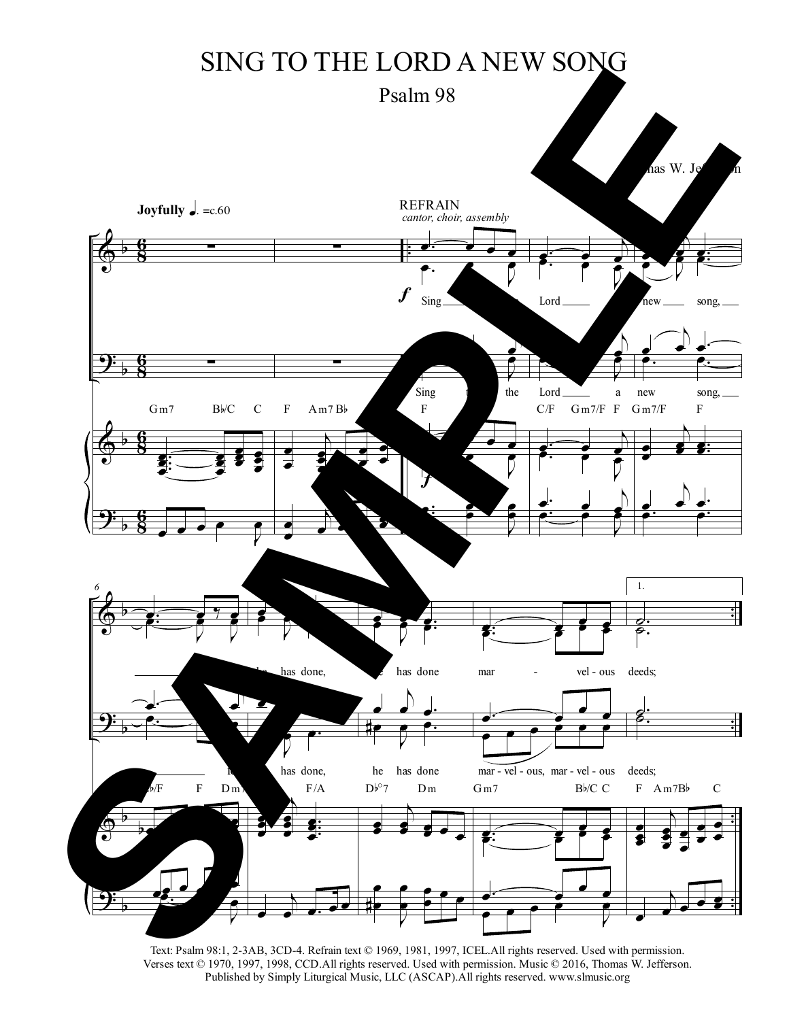## SING TO THE LORD A NEW SONG

Psalm 98



Text: Psalm 98:1, 2-3AB, 3CD-4. Refrain text © 1969, 1981, 1997, ICEL.All rights reserved. Used with permission. Verses text © 1970, 1997, 1998, CCD.All rights reserved. Used with permission. Music © 2016, Thomas W. Jefferson. Published by Simply Liturgical Music, LLC (ASCAP).All rights reserved. www.slmusic.org